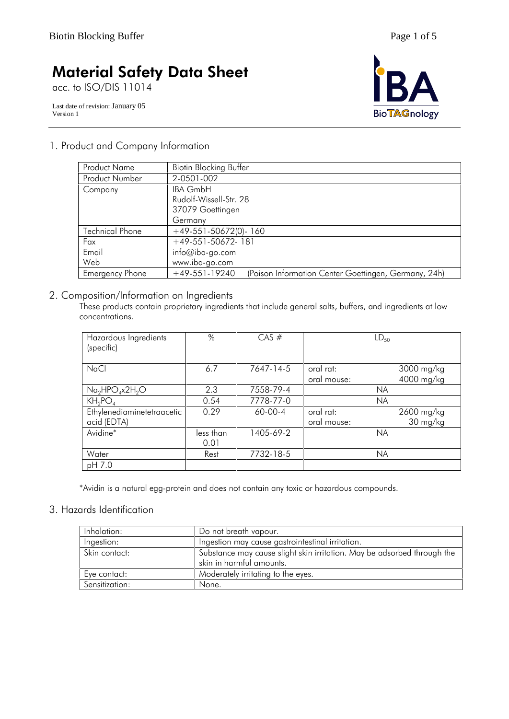acc. to ISO/DIS 11014

Last date of revision: January 05 Version 1



## 1. Product and Company Information

| <b>Product Name</b>    | <b>Biotin Blocking Buffer</b>                                           |
|------------------------|-------------------------------------------------------------------------|
| <b>Product Number</b>  | 2-0501-002                                                              |
| Company                | <b>IBA GmbH</b>                                                         |
|                        | Rudolf-Wissell-Str. 28                                                  |
|                        | 37079 Goettingen                                                        |
|                        | Germany                                                                 |
| <b>Technical Phone</b> | $+49-551-50672(0) - 160$                                                |
| Fax                    | $+49-551-50672-181$                                                     |
| Email                  | $info@iba-go.com$                                                       |
| Web                    | www.iba-go.com                                                          |
| <b>Emergency Phone</b> | $+49-551-19240$<br>(Poison Information Center Goettingen, Germany, 24h) |

## 2. Composition/Information on Ingredients

These products contain proprietary ingredients that include general salts, buffers, and ingredients at low concentrations.

| Hazardous Ingredients<br>(specific)       | %                 | $CAS \#$  |                          | $LD_{50}$                |
|-------------------------------------------|-------------------|-----------|--------------------------|--------------------------|
| <b>NaCl</b>                               | 6.7               | 7647-14-5 | oral rat:<br>oral mouse: | 3000 mg/kg<br>4000 mg/kg |
| $Na2HPO4x2H2O$                            | 2.3               | 7558-79-4 |                          | <b>NA</b>                |
| $KH_2PO_4$                                | 0.54              | 7778-77-0 |                          | <b>NA</b>                |
| Ethylenediaminetetraacetic<br>acid (EDTA) | 0.29              | 60-00-4   | oral rat:<br>oral mouse: | 2600 mg/kg<br>30 mg/kg   |
| Avidine*                                  | less than<br>0.01 | 1405-69-2 |                          | <b>NA</b>                |
| Water                                     | Rest              | 7732-18-5 |                          | <b>NA</b>                |
| pH 7.0                                    |                   |           |                          |                          |

\*Avidin is a natural egg-protein and does not contain any toxic or hazardous compounds.

## 3. Hazards Identification

| Inhalation:    | Do not breath vapour.                                                                               |
|----------------|-----------------------------------------------------------------------------------------------------|
| Ingestion:     | Ingestion may cause gastrointestinal irritation.                                                    |
| Skin contact:  | Substance may cause slight skin irritation. May be adsorbed through the<br>skin in harmful amounts. |
| Eye contact:   | Moderately irritating to the eyes.                                                                  |
| Sensitization: | None.                                                                                               |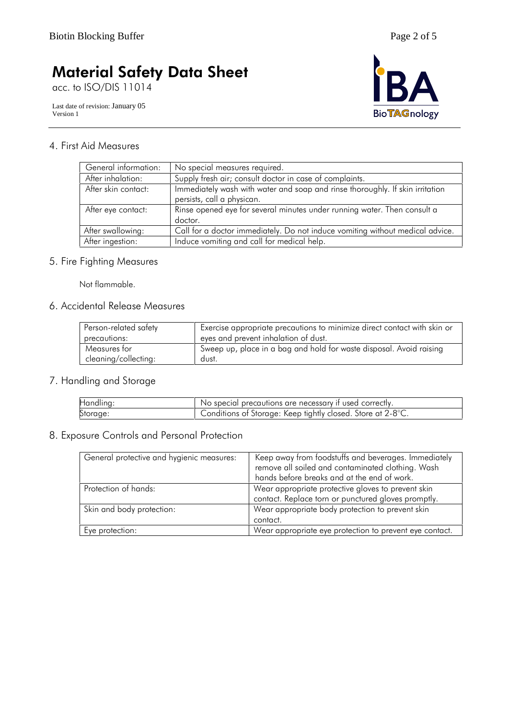acc. to ISO/DIS 11014

Last date of revision: January 05 Version 1



## 4. First Aid Measures

| General information: | No special measures required.                                                 |
|----------------------|-------------------------------------------------------------------------------|
| After inhalation:    | Supply fresh air; consult doctor in case of complaints.                       |
| After skin contact:  | Immediately wash with water and soap and rinse thoroughly. If skin irritation |
|                      | persists, call a physican.                                                    |
| After eye contact:   | Rinse opened eye for several minutes under running water. Then consult a      |
|                      | doctor.                                                                       |
| After swallowing:    | Call for a doctor immediately. Do not induce vomiting without medical advice. |
| After ingestion:     | Induce vomiting and call for medical help.                                    |

## 5. Fire Fighting Measures

Not flammable.

## 6. Accidental Release Measures

| Person-related safety | Exercise appropriate precautions to minimize direct contact with skin or |
|-----------------------|--------------------------------------------------------------------------|
| precautions:          | eyes and prevent inhalation of dust.                                     |
| Measures for          | Sweep up, place in a bag and hold for waste disposal. Avoid raising      |
| cleaning/collecting:  | dust.                                                                    |

## 7. Handling and Storage

| Handling: | No special precautions are necessary if used correctly.     |
|-----------|-------------------------------------------------------------|
| Storage:  | Conditions of Storage: Keep tightly closed. Store at 2-8°C. |

## 8. Exposure Controls and Personal Protection

| General protective and hygienic measures: | Keep away from foodstuffs and beverages. Immediately<br>remove all soiled and contaminated clothing. Wash<br>hands before breaks and at the end of work. |
|-------------------------------------------|----------------------------------------------------------------------------------------------------------------------------------------------------------|
| Protection of hands:                      | Wear appropriate protective gloves to prevent skin<br>contact. Replace torn or punctured gloves promptly.                                                |
| Skin and body protection:                 | Wear appropriate body protection to prevent skin<br>contact.                                                                                             |
| Eye protection:                           | Wear appropriate eye protection to prevent eye contact.                                                                                                  |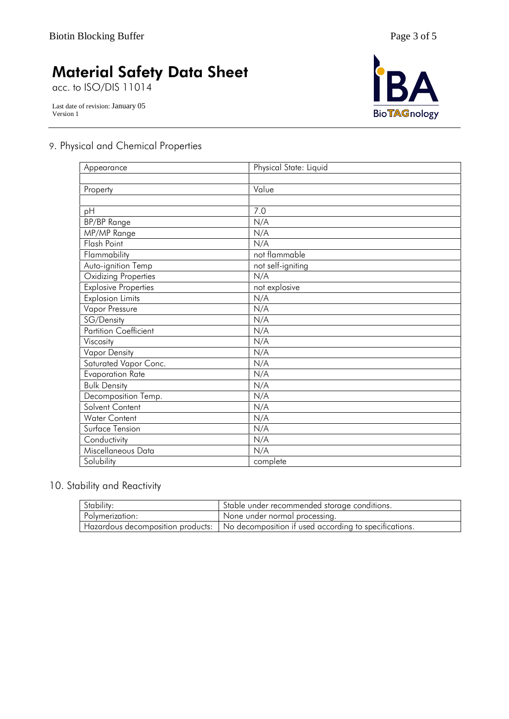acc. to ISO/DIS 11014

Last date of revision: January 05 Version 1



## 9. Physical and Chemical Properties

| Appearance                  | Physical State: Liquid |
|-----------------------------|------------------------|
|                             |                        |
| Property                    | Value                  |
|                             |                        |
| pH                          | 7.0                    |
| <b>BP/BP</b> Range          | N/A                    |
| MP/MP Range                 | N/A                    |
| Flash Point                 | N/A                    |
| Flammability                | not flammable          |
| Auto-ignition Temp          | not self-igniting      |
| Oxidizing Properties        | N/A                    |
| <b>Explosive Properties</b> | not explosive          |
| <b>Explosion Limits</b>     | N/A                    |
| Vapor Pressure              | N/A                    |
| SG/Density                  | N/A                    |
| Partition Coefficient       | N/A                    |
| Viscosity                   | N/A                    |
| <b>Vapor Density</b>        | N/A                    |
| Saturated Vapor Conc.       | N/A                    |
| Evaporation Rate            | N/A                    |
| <b>Bulk Density</b>         | N/A                    |
| Decomposition Temp.         | N/A                    |
| Solvent Content             | N/A                    |
| Water Content               | N/A                    |
| Surface Tension             | N/A                    |
| Conductivity                | N/A                    |
| Miscellaneous Data          | N/A                    |
| Solubility                  | complete               |

## 10. Stability and Reactivity

| Stability:      | Stable under recommended storage conditions.                                              |
|-----------------|-------------------------------------------------------------------------------------------|
| Polymerization: | None under normal processing.                                                             |
|                 | Hazardous decomposition products:   No decomposition if used according to specifications. |